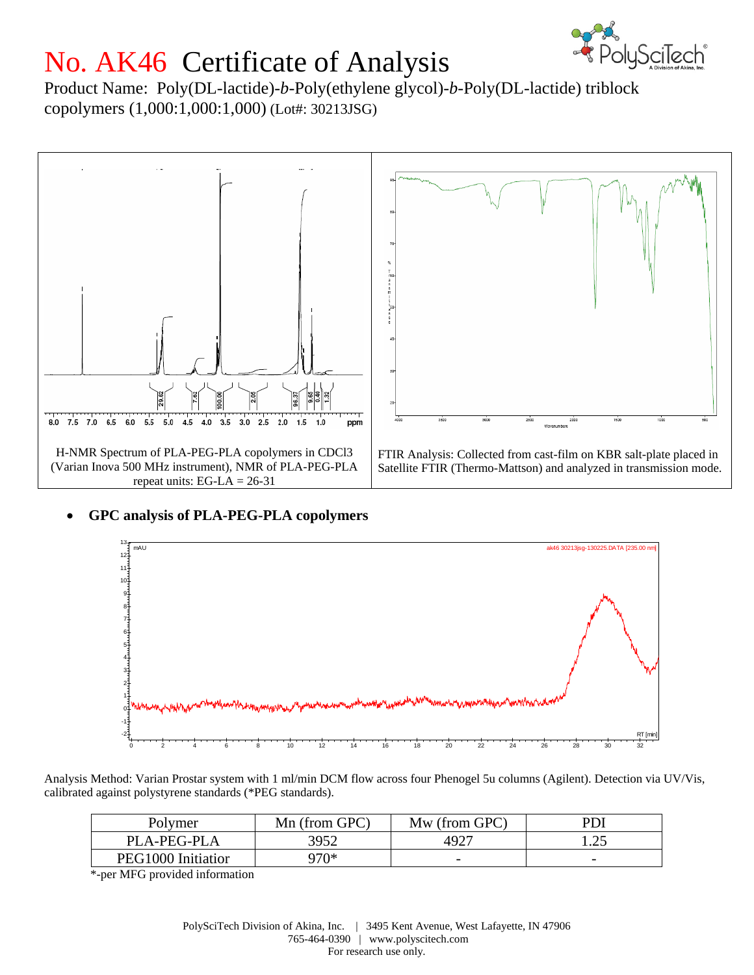

## No. AK46 Certificate of Analysis

Product Name: Poly(DL-lactide)-*b*-Poly(ethylene glycol)-*b*-Poly(DL-lactide) triblock copolymers (1,000:1,000:1,000) (Lot#: 30213JSG)



## **GPC analysis of PLA-PEG-PLA copolymers**



Analysis Method: Varian Prostar system with 1 ml/min DCM flow across four Phenogel 5u columns (Agilent). Detection via UV/Vis, calibrated against polystyrene standards (\*PEG standards).

| Polymer            | Mn (from GPC) | Mw (from GPC)            | PDI                      |
|--------------------|---------------|--------------------------|--------------------------|
| PLA-PEG-PLA        | 3952          | 4927                     | . . <u>.</u> .           |
| PEG1000 Initiation | ን7በ*          | $\overline{\phantom{m}}$ | $\overline{\phantom{a}}$ |

\*-per MFG provided information